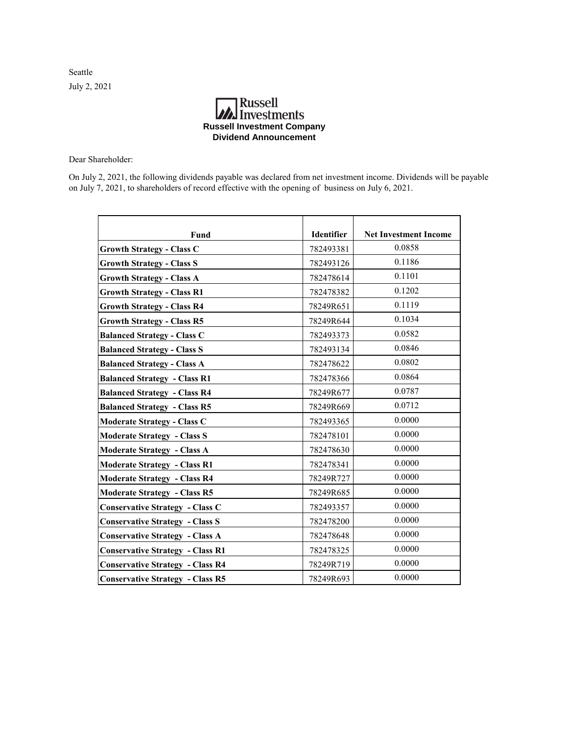Seattle July 2, 2021

## **A**<br>Investments **Russell Investment Company Dividend Announcement**

Dear Shareholder:

On July 2, 2021, the following dividends payable was declared from net investment income. Dividends will be payable on July 7, 2021, to shareholders of record effective with the opening of business on July 6, 2021.

| Fund                                    | Identifier | <b>Net Investment Income</b> |
|-----------------------------------------|------------|------------------------------|
| <b>Growth Strategy - Class C</b>        | 782493381  | 0.0858                       |
| <b>Growth Strategy - Class S</b>        | 782493126  | 0.1186                       |
| <b>Growth Strategy - Class A</b>        | 782478614  | 0.1101                       |
| <b>Growth Strategy - Class R1</b>       | 782478382  | 0.1202                       |
| <b>Growth Strategy - Class R4</b>       | 78249R651  | 0.1119                       |
| <b>Growth Strategy - Class R5</b>       | 78249R644  | 0.1034                       |
| <b>Balanced Strategy - Class C</b>      | 782493373  | 0.0582                       |
| <b>Balanced Strategy - Class S</b>      | 782493134  | 0.0846                       |
| <b>Balanced Strategy - Class A</b>      | 782478622  | 0.0802                       |
| <b>Balanced Strategy - Class R1</b>     | 782478366  | 0.0864                       |
| <b>Balanced Strategy - Class R4</b>     | 78249R677  | 0.0787                       |
| <b>Balanced Strategy - Class R5</b>     | 78249R669  | 0.0712                       |
| <b>Moderate Strategy - Class C</b>      | 782493365  | 0.0000                       |
| <b>Moderate Strategy - Class S</b>      | 782478101  | 0.0000                       |
| <b>Moderate Strategy - Class A</b>      | 782478630  | 0.0000                       |
| <b>Moderate Strategy - Class R1</b>     | 782478341  | 0.0000                       |
| <b>Moderate Strategy - Class R4</b>     | 78249R727  | 0.0000                       |
| <b>Moderate Strategy - Class R5</b>     | 78249R685  | 0.0000                       |
| <b>Conservative Strategy - Class C</b>  | 782493357  | 0.0000                       |
| <b>Conservative Strategy - Class S</b>  | 782478200  | 0.0000                       |
| <b>Conservative Strategy - Class A</b>  | 782478648  | 0.0000                       |
| <b>Conservative Strategy - Class R1</b> | 782478325  | 0.0000                       |
| <b>Conservative Strategy - Class R4</b> | 78249R719  | 0.0000                       |
| <b>Conservative Strategy - Class R5</b> | 78249R693  | 0.0000                       |